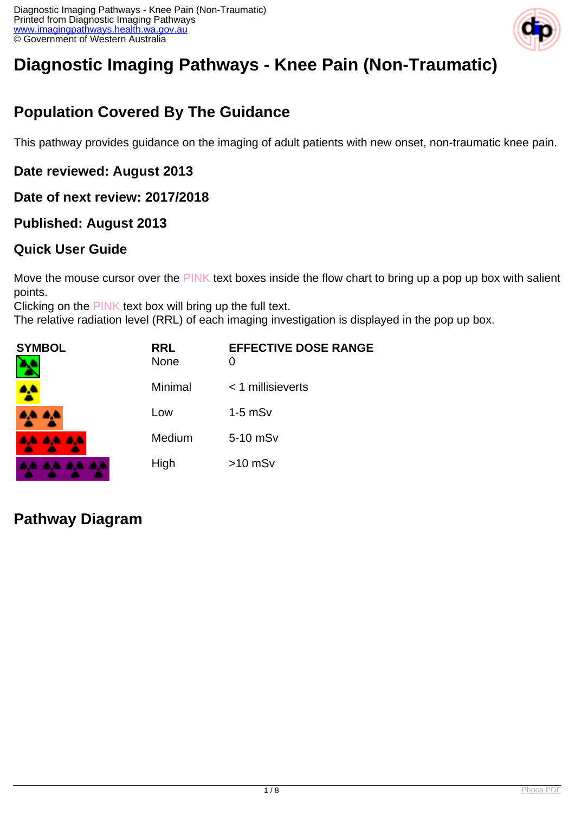

# **Diagnostic Imaging Pathways - Knee Pain (Non-Traumatic)**

# **Population Covered By The Guidance**

This pathway provides guidance on the imaging of adult patients with new onset, non-traumatic knee pain.

#### **Date reviewed: August 2013**

#### **Date of next review: 2017/2018**

#### **Published: August 2013**

#### **Quick User Guide**

Move the mouse cursor over the PINK text boxes inside the flow chart to bring up a pop up box with salient points.

Clicking on the PINK text box will bring up the full text.

The relative radiation level (RRL) of each imaging investigation is displayed in the pop up box.

| SYMBOL          | <b>RRL</b><br><b>None</b> | <b>EFFECTIVE DOSE RANGE</b><br>0 |
|-----------------|---------------------------|----------------------------------|
|                 | Minimal                   | < 1 millisieverts                |
| <b>AA AA</b>    | Low                       | $1-5$ mS $v$                     |
| <b>AA AA AA</b> | Medium                    | 5-10 mSv                         |
|                 | High                      | $>10$ mSv                        |

### **Pathway Diagram**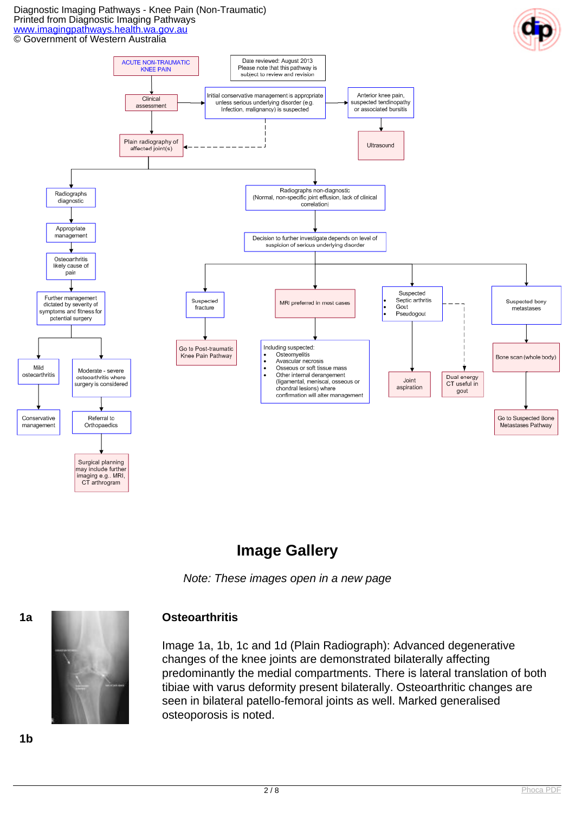#### Diagnostic Imaging Pathways - Knee Pain (Non-Traumatic) Printed from Diagnostic Imaging Pathways [www.imagingpathways.health.wa.gov.au](http://www.imagingpathways.health.wa.gov.au/) © Government of Western Australia





# **Image Gallery**

Note: These images open in a new page



Image 1a, 1b, 1c and 1d (Plain Radiograph): Advanced degenerative changes of the knee joints are demonstrated bilaterally affecting predominantly the medial compartments. There is lateral translation of both tibiae with varus deformity present bilaterally. Osteoarthritic changes are seen in bilateral patello-femoral joints as well. Marked generalised osteoporosis is noted.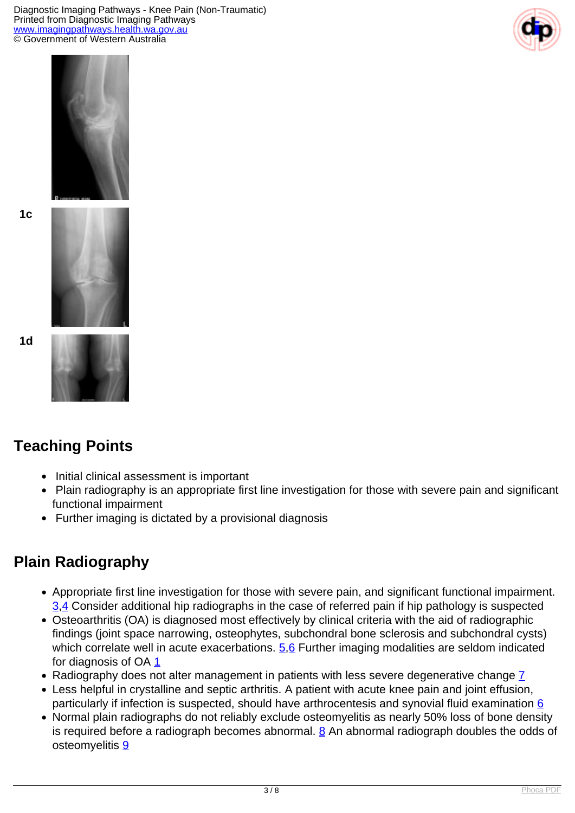Diagnostic Imaging Pathways - Knee Pain (Non-Traumatic) Printed from Diagnostic Imaging Pathways [www.imagingpathways.health.wa.gov.au](http://www.imagingpathways.health.wa.gov.au/) © Government of Western Australia





**1c**



**1d**



# **Teaching Points**

- Initial clinical assessment is important
- Plain radiography is an appropriate first line investigation for those with severe pain and significant functional impairment
- Further imaging is dictated by a provisional diagnosis

# **Plain Radiography**

- Appropriate first line investigation for those with severe pain, and significant functional impairment. [3](index.php/imaging-pathways/musculoskeletal-trauma/musculoskeletal/non-traumatic-knee-pain?tab=References#3).4 Consider additional hip radiographs in the case of referred pain if hip pathology is suspected
- Osteoarthritis (OA) is diagnosed most effectively by clinical criteria with the aid of radiographic findings (joint space narrowing, osteophytes, subchondral bone sclerosis and subchondral cysts) which correlate well in acute exacerbations.  $5.6$  Further imaging modalities are seldom indicated for diagnosis of OA [1](index.php/imaging-pathways/musculoskeletal-trauma/musculoskeletal/non-traumatic-knee-pain?tab=References#1)
- Radiography does not alter management in patients with less severe degenerative change [7](index.php/imaging-pathways/musculoskeletal-trauma/musculoskeletal/non-traumatic-knee-pain?tab=References#7)
- Less helpful in crystalline and septic arthritis. A patient with acute knee pain and joint effusion, particularly if infection is suspected, should have arthrocentesis and synovial fluid examination [6](index.php/imaging-pathways/musculoskeletal-trauma/musculoskeletal/non-traumatic-knee-pain?tab=References#6)
- Normal plain radiographs do not reliably exclude osteomyelitis as nearly 50% loss of bone density is required before a radiograph becomes abnormal.  $8$  An abnormal radiograph doubles the odds of osteomyelitis [9](index.php/imaging-pathways/musculoskeletal-trauma/musculoskeletal/non-traumatic-knee-pain?tab=References#9)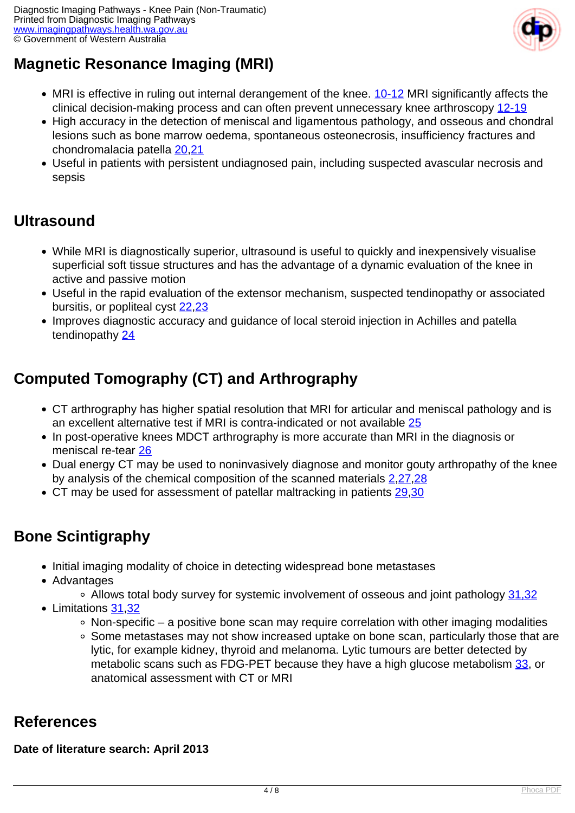

# **Magnetic Resonance Imaging (MRI)**

- MRI is effective in ruling out internal derangement of the knee. [10-12](index.php/imaging-pathways/musculoskeletal-trauma/musculoskeletal/non-traumatic-knee-pain?tab=References#10) MRI significantly affects the clinical decision-making process and can often prevent unnecessary knee arthroscopy [12-19](index.php/imaging-pathways/musculoskeletal-trauma/musculoskeletal/non-traumatic-knee-pain?tab=References#12)
- High accuracy in the detection of meniscal and ligamentous pathology, and osseous and chondral lesions such as bone marrow oedema, spontaneous osteonecrosis, insufficiency fractures and chondromalacia patella [20](index.php/imaging-pathways/musculoskeletal-trauma/musculoskeletal/non-traumatic-knee-pain?tab=References#20),[21](index.php/imaging-pathways/musculoskeletal-trauma/musculoskeletal/non-traumatic-knee-pain?tab=References#21)
- Useful in patients with persistent undiagnosed pain, including suspected avascular necrosis and sepsis

## **Ultrasound**

- While MRI is diagnostically superior, ultrasound is useful to quickly and inexpensively visualise superficial soft tissue structures and has the advantage of a dynamic evaluation of the knee in active and passive motion
- Useful in the rapid evaluation of the extensor mechanism, suspected tendinopathy or associated bursitis, or popliteal cyst [22](index.php/imaging-pathways/musculoskeletal-trauma/musculoskeletal/non-traumatic-knee-pain?tab=References#22)[,23](index.php/imaging-pathways/musculoskeletal-trauma/musculoskeletal/non-traumatic-knee-pain?tab=References#23)
- Improves diagnostic accuracy and guidance of local steroid injection in Achilles and patella tendinopathy [24](index.php/imaging-pathways/musculoskeletal-trauma/musculoskeletal/non-traumatic-knee-pain?tab=References#24)

# **Computed Tomography (CT) and Arthrography**

- CT arthrography has higher spatial resolution that MRI for articular and meniscal pathology and is an excellent alternative test if MRI is contra-indicated or not available [25](index.php/imaging-pathways/musculoskeletal-trauma/musculoskeletal/non-traumatic-knee-pain?tab=References#25)
- In post-operative knees MDCT arthrography is more accurate than MRI in the diagnosis or meniscal re-tear [26](index.php/imaging-pathways/musculoskeletal-trauma/musculoskeletal/non-traumatic-knee-pain?tab=References#26)
- Dual energy CT may be used to noninvasively diagnose and monitor gouty arthropathy of the knee by analysis of the chemical composition of the scanned materials [2](index.php/imaging-pathways/musculoskeletal-trauma/musculoskeletal/non-traumatic-knee-pain?tab=References#2)[,27,](index.php/imaging-pathways/musculoskeletal-trauma/musculoskeletal/non-traumatic-knee-pain?tab=References#27,28)[28](index.php/imaging-pathways/musculoskeletal-trauma/musculoskeletal/non-traumatic-knee-pain?tab=References#28)
- CT may be used for assessment of patellar maltracking in patients [29](index.php/imaging-pathways/musculoskeletal-trauma/musculoskeletal/non-traumatic-knee-pain?tab=References#29),[30](index.php/imaging-pathways/musculoskeletal-trauma/musculoskeletal/non-traumatic-knee-pain?tab=References#30)

# **Bone Scintigraphy**

- Initial imaging modality of choice in detecting widespread bone metastases
- Advantages
	- Allows total body survey for systemic involvement of osseous and joint pathology [31,32](index.php/imaging-pathways/musculoskeletal-trauma/musculoskeletal/non-traumatic-knee-pain?tab=References#31)
- Limitations [31](index.php/imaging-pathways/musculoskeletal-trauma/musculoskeletal/non-traumatic-knee-pain?tab=References#31),[32](index.php/imaging-pathways/musculoskeletal-trauma/musculoskeletal/non-traumatic-knee-pain?tab=References#32)
	- $\circ$  Non-specific a positive bone scan may require correlation with other imaging modalities
	- Some metastases may not show increased uptake on bone scan, particularly those that are lytic, for example kidney, thyroid and melanoma. Lytic tumours are better detected by metabolic scans such as FDG-PET because they have a high glucose metabolism [33](index.php/imaging-pathways/musculoskeletal-trauma/musculoskeletal/non-traumatic-knee-pain?tab=References#31), or anatomical assessment with CT or MRI

### **References**

#### **Date of literature search: April 2013**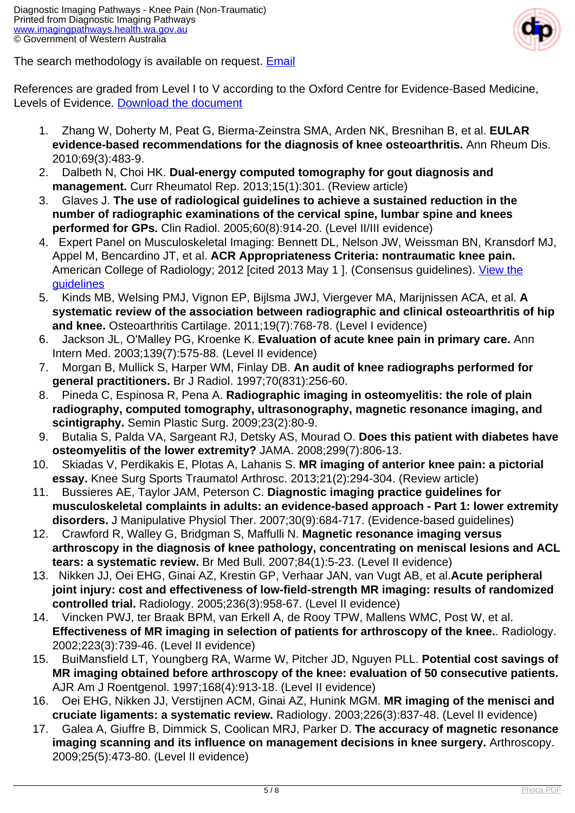

The search methodology is available on request. [Email](index.php/contact-us)

References are graded from Level I to V according to the Oxford Centre for Evidence-Based Medicine, Levels of Evidence. [Download the document](http://www.cebm.net/wp-content/uploads/2014/06/CEBM-Levels-of-Evidence-2.1.pdf)

- 1. Zhang W, Doherty M, Peat G, Bierma-Zeinstra SMA, Arden NK, Bresnihan B, et al. **EULAR evidence-based recommendations for the diagnosis of knee osteoarthritis.** Ann Rheum Dis. 2010;69(3):483-9.
- 2. Dalbeth N, Choi HK. **Dual-energy computed tomography for gout diagnosis and management.** Curr Rheumatol Rep. 2013;15(1):301. (Review article)
- 3. Glaves J. **The use of radiological guidelines to achieve a sustained reduction in the number of radiographic examinations of the cervical spine, lumbar spine and knees performed for GPs.** Clin Radiol. 2005;60(8):914-20. (Level II/III evidence)
- 4. Expert Panel on Musculoskeletal Imaging: Bennett DL, Nelson JW, Weissman BN, Kransdorf MJ, Appel M, Bencardino JT, et al. **ACR Appropriateness Criteria: nontraumatic knee pain.** American College of Radiology: 2012 [cited 2013 May 1 ]. (Consensus guidelines). [View the](http://www.guideline.gov/content.aspx?id=43872) [guidelines](http://www.guideline.gov/content.aspx?id=43872)
- 5. Kinds MB, Welsing PMJ, Vignon EP, Bijlsma JWJ, Viergever MA, Marijnissen ACA, et al. **A systematic review of the association between radiographic and clinical osteoarthritis of hip and knee.** Osteoarthritis Cartilage. 2011;19(7):768-78. (Level I evidence)
- 6. Jackson JL, O'Malley PG, Kroenke K. **Evaluation of acute knee pain in primary care.** Ann Intern Med. 2003;139(7):575-88. (Level II evidence)
- 7. Morgan B, Mullick S, Harper WM, Finlay DB. **An audit of knee radiographs performed for general practitioners.** Br J Radiol. 1997;70(831):256-60.
- 8. Pineda C, Espinosa R, Pena A. **Radiographic imaging in osteomyelitis: the role of plain radiography, computed tomography, ultrasonography, magnetic resonance imaging, and scintigraphy.** Semin Plastic Surg. 2009;23(2):80-9.
- 9. Butalia S, Palda VA, Sargeant RJ, Detsky AS, Mourad O. **Does this patient with diabetes have osteomyelitis of the lower extremity?** JAMA. 2008;299(7):806-13.
- 10. Skiadas V, Perdikakis E, Plotas A, Lahanis S. **MR imaging of anterior knee pain: a pictorial essay.** Knee Surg Sports Traumatol Arthrosc. 2013;21(2):294-304. (Review article)
- 11. Bussieres AE, Taylor JAM, Peterson C. **Diagnostic imaging practice guidelines for musculoskeletal complaints in adults: an evidence-based approach - Part 1: lower extremity disorders.** J Manipulative Physiol Ther. 2007;30(9):684-717. (Evidence-based guidelines)
- 12. Crawford R, Walley G, Bridgman S, Maffulli N. **Magnetic resonance imaging versus arthroscopy in the diagnosis of knee pathology, concentrating on meniscal lesions and ACL tears: a systematic review.** Br Med Bull. 2007;84(1):5-23. (Level II evidence)
- 13. Nikken JJ, Oei EHG, Ginai AZ, Krestin GP, Verhaar JAN, van Vugt AB, et al.**Acute peripheral joint injury: cost and effectiveness of low-field-strength MR imaging: results of randomized controlled trial.** Radiology. 2005;236(3):958-67. (Level II evidence)
- 14. Vincken PWJ, ter Braak BPM, van Erkell A, de Rooy TPW, Mallens WMC, Post W, et al. **Effectiveness of MR imaging in selection of patients for arthroscopy of the knee.**. Radiology. 2002;223(3):739-46. (Level II evidence)
- 15. BuiMansfield LT, Youngberg RA, Warme W, Pitcher JD, Nguyen PLL. **Potential cost savings of MR imaging obtained before arthroscopy of the knee: evaluation of 50 consecutive patients.** AJR Am J Roentgenol. 1997;168(4):913-18. (Level II evidence)
- 16. Oei EHG, Nikken JJ, Verstijnen ACM, Ginai AZ, Hunink MGM. **MR imaging of the menisci and cruciate ligaments: a systematic review.** Radiology. 2003;226(3):837-48. (Level II evidence)
- 17. Galea A, Giuffre B, Dimmick S, Coolican MRJ, Parker D. **The accuracy of magnetic resonance imaging scanning and its influence on management decisions in knee surgery.** Arthroscopy. 2009;25(5):473-80. (Level II evidence)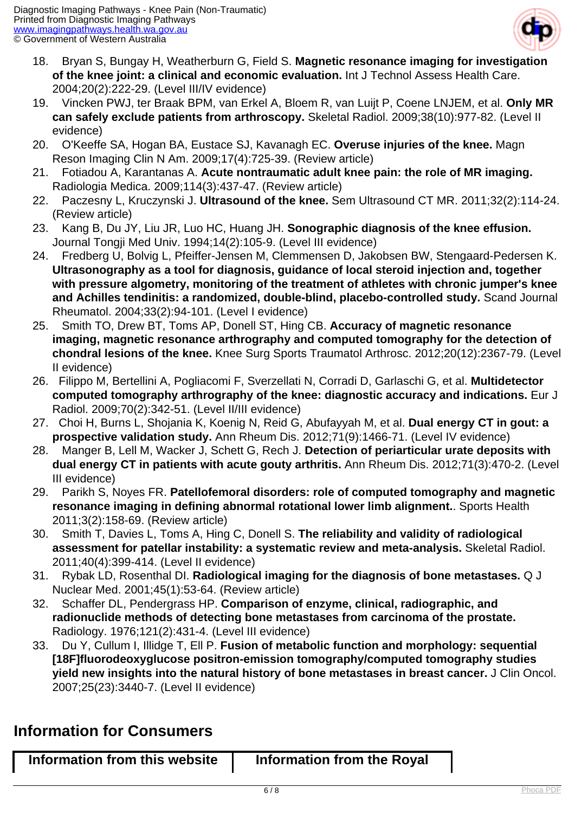

- 18. Bryan S, Bungay H, Weatherburn G, Field S. **Magnetic resonance imaging for investigation of the knee joint: a clinical and economic evaluation.** Int J Technol Assess Health Care. 2004;20(2):222-29. (Level III/IV evidence)
- 19. Vincken PWJ, ter Braak BPM, van Erkel A, Bloem R, van Luijt P, Coene LNJEM, et al. **Only MR can safely exclude patients from arthroscopy.** Skeletal Radiol. 2009;38(10):977-82. (Level II evidence)
- 20. O'Keeffe SA, Hogan BA, Eustace SJ, Kavanagh EC. **Overuse injuries of the knee.** Magn Reson Imaging Clin N Am. 2009;17(4):725-39. (Review article)
- 21. Fotiadou A, Karantanas A. **Acute nontraumatic adult knee pain: the role of MR imaging.** Radiologia Medica. 2009;114(3):437-47. (Review article)
- 22. Paczesny L, Kruczynski J. **Ultrasound of the knee.** Sem Ultrasound CT MR. 2011;32(2):114-24. (Review article)
- 23. Kang B, Du JY, Liu JR, Luo HC, Huang JH. **Sonographic diagnosis of the knee effusion.** Journal Tongji Med Univ. 1994;14(2):105-9. (Level III evidence)
- 24. Fredberg U, Bolvig L, Pfeiffer-Jensen M, Clemmensen D, Jakobsen BW, Stengaard-Pedersen K. **Ultrasonography as a tool for diagnosis, guidance of local steroid injection and, together with pressure algometry, monitoring of the treatment of athletes with chronic jumper's knee and Achilles tendinitis: a randomized, double-blind, placebo-controlled study.** Scand Journal Rheumatol. 2004;33(2):94-101. (Level I evidence)
- 25. Smith TO, Drew BT, Toms AP, Donell ST, Hing CB. **Accuracy of magnetic resonance imaging, magnetic resonance arthrography and computed tomography for the detection of chondral lesions of the knee.** Knee Surg Sports Traumatol Arthrosc. 2012;20(12):2367-79. (Level II evidence)
- 26. Filippo M, Bertellini A, Pogliacomi F, Sverzellati N, Corradi D, Garlaschi G, et al. **Multidetector computed tomography arthrography of the knee: diagnostic accuracy and indications.** Eur J Radiol. 2009;70(2):342-51. (Level II/III evidence)
- 27. Choi H, Burns L, Shojania K, Koenig N, Reid G, Abufayyah M, et al. **Dual energy CT in gout: a prospective validation study.** Ann Rheum Dis. 2012;71(9):1466-71. (Level IV evidence)
- 28. Manger B, Lell M, Wacker J, Schett G, Rech J. **Detection of periarticular urate deposits with dual energy CT in patients with acute gouty arthritis.** Ann Rheum Dis. 2012;71(3):470-2. (Level III evidence)
- 29. Parikh S, Noyes FR. **Patellofemoral disorders: role of computed tomography and magnetic resonance imaging in defining abnormal rotational lower limb alignment.**. Sports Health 2011;3(2):158-69. (Review article)
- 30. Smith T, Davies L, Toms A, Hing C, Donell S. **The reliability and validity of radiological assessment for patellar instability: a systematic review and meta-analysis.** Skeletal Radiol. 2011;40(4):399-414. (Level II evidence)
- 31. Rybak LD, Rosenthal DI. **Radiological imaging for the diagnosis of bone metastases.** Q J Nuclear Med. 2001;45(1):53-64. (Review article)
- 32. Schaffer DL, Pendergrass HP. **Comparison of enzyme, clinical, radiographic, and radionuclide methods of detecting bone metastases from carcinoma of the prostate.** Radiology. 1976;121(2):431-4. (Level III evidence)
- 33. Du Y, Cullum I, Illidge T, Ell P. **Fusion of metabolic function and morphology: sequential [18F]fluorodeoxyglucose positron-emission tomography/computed tomography studies yield new insights into the natural history of bone metastases in breast cancer.** J Clin Oncol. 2007;25(23):3440-7. (Level II evidence)

### **Information for Consumers**

| Information from this website<br>Information from the Royal |
|-------------------------------------------------------------|
|-------------------------------------------------------------|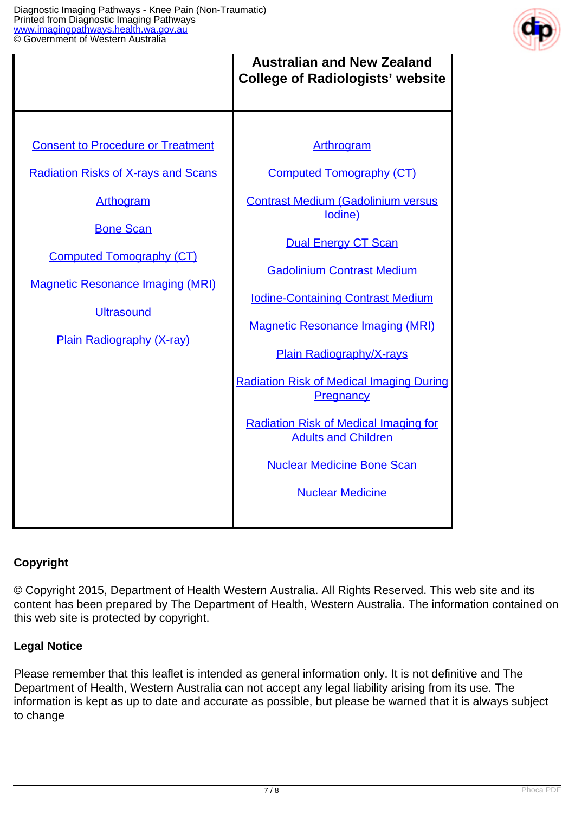

|                                                                                                                                                                                                                                                                       | <b>Australian and New Zealand</b><br><b>College of Radiologists' website</b>                                                                                                                                                                                                                                                                                                                                                                                                                                     |
|-----------------------------------------------------------------------------------------------------------------------------------------------------------------------------------------------------------------------------------------------------------------------|------------------------------------------------------------------------------------------------------------------------------------------------------------------------------------------------------------------------------------------------------------------------------------------------------------------------------------------------------------------------------------------------------------------------------------------------------------------------------------------------------------------|
| <b>Consent to Procedure or Treatment</b><br><b>Radiation Risks of X-rays and Scans</b><br><b>Arthogram</b><br><b>Bone Scan</b><br><b>Computed Tomography (CT)</b><br><b>Magnetic Resonance Imaging (MRI)</b><br><b>Ultrasound</b><br><b>Plain Radiography (X-ray)</b> | Arthrogram<br><b>Computed Tomography (CT)</b><br><b>Contrast Medium (Gadolinium versus</b><br>lodine)<br><b>Dual Energy CT Scan</b><br><b>Gadolinium Contrast Medium</b><br><b>Iodine-Containing Contrast Medium</b><br><b>Magnetic Resonance Imaging (MRI)</b><br><b>Plain Radiography/X-rays</b><br><b>Radiation Risk of Medical Imaging During</b><br>Pregnancy<br><b>Radiation Risk of Medical Imaging for</b><br><b>Adults and Children</b><br><b>Nuclear Medicine Bone Scan</b><br><b>Nuclear Medicine</b> |

#### **Copyright**

© Copyright 2015, Department of Health Western Australia. All Rights Reserved. This web site and its content has been prepared by The Department of Health, Western Australia. The information contained on this web site is protected by copyright.

#### **Legal Notice**

Please remember that this leaflet is intended as general information only. It is not definitive and The Department of Health, Western Australia can not accept any legal liability arising from its use. The information is kept as up to date and accurate as possible, but please be warned that it is always subject to change